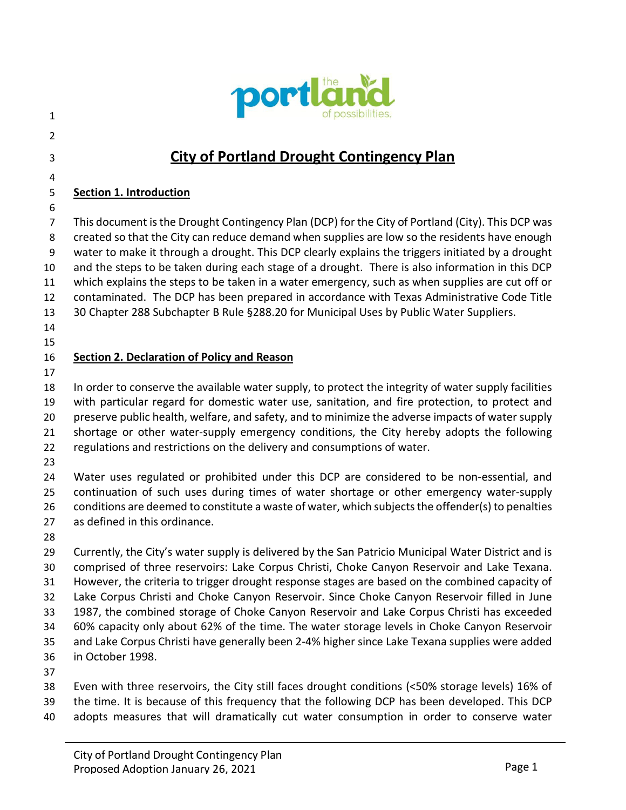

- 
- 

# **City of Portland Drought Contingency Plan**

# **Section 1. Introduction**

7 This document is the Drought Contingency Plan (DCP) for the City of Portland (City). This DCP was 8 created so that the City can reduce demand when supplies are low so the residents have enough 9 water to make it through a drought. This DCP clearly explains the triggers initiated by a drought and the steps to be taken during each stage of a drought. There is also information in this DCP which explains the steps to be taken in a water emergency, such as when supplies are cut off or contaminated. The DCP has been prepared in accordance with Texas Administrative Code Title 30 Chapter 288 Subchapter B Rule §288.20 for Municipal Uses by Public Water Suppliers.

- 
- 

## **Section 2. Declaration of Policy and Reason**

 In order to conserve the available water supply, to protect the integrity of water supply facilities with particular regard for domestic water use, sanitation, and fire protection, to protect and preserve public health, welfare, and safety, and to minimize the adverse impacts of water supply shortage or other water-supply emergency conditions, the City hereby adopts the following regulations and restrictions on the delivery and consumptions of water.

 Water uses regulated or prohibited under this DCP are considered to be non-essential, and continuation of such uses during times of water shortage or other emergency water-supply conditions are deemed to constitute a waste of water, which subjects the offender(s) to penalties as defined in this ordinance.

 Currently, the City's water supply is delivered by the San Patricio Municipal Water District and is comprised of three reservoirs: Lake Corpus Christi, Choke Canyon Reservoir and Lake Texana. However, the criteria to trigger drought response stages are based on the combined capacity of Lake Corpus Christi and Choke Canyon Reservoir. Since Choke Canyon Reservoir filled in June 1987, the combined storage of Choke Canyon Reservoir and Lake Corpus Christi has exceeded 60% capacity only about 62% of the time. The water storage levels in Choke Canyon Reservoir and Lake Corpus Christi have generally been 2-4% higher since Lake Texana supplies were added in October 1998.

 Even with three reservoirs, the City still faces drought conditions (<50% storage levels) 16% of the time. It is because of this frequency that the following DCP has been developed. This DCP

adopts measures that will dramatically cut water consumption in order to conserve water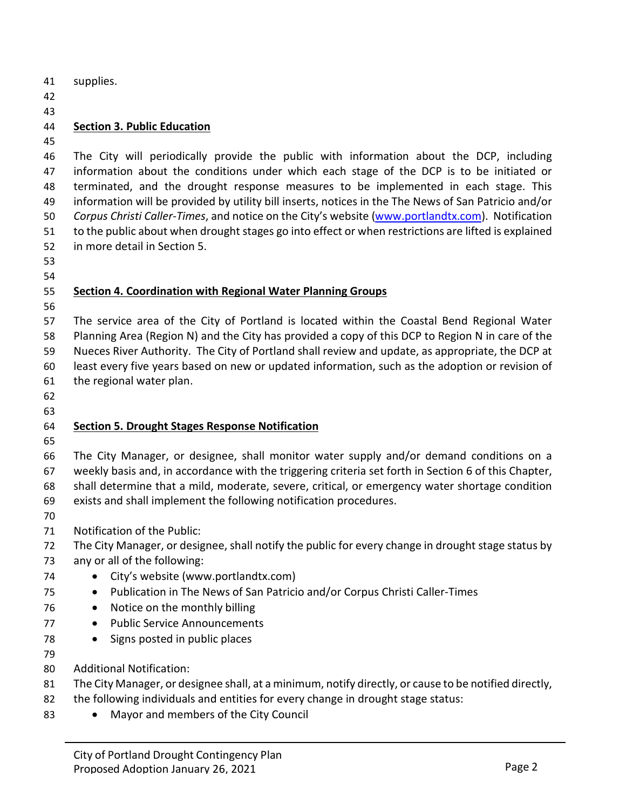supplies.

### **Section 3. Public Education**

 The City will periodically provide the public with information about the DCP, including information about the conditions under which each stage of the DCP is to be initiated or terminated, and the drought response measures to be implemented in each stage. This information will be provided by utility bill inserts, notices in the The News of San Patricio and/or *Corpus Christi Caller-Times*, and notice on the City's website [\(www.portlandtx.com\)](http://www.portlandtx.com/). Notification to the public about when drought stages go into effect or when restrictions are lifted is explained in more detail in Section 5.

#### **Section 4. Coordination with Regional Water Planning Groups**

 The service area of the City of Portland is located within the Coastal Bend Regional Water Planning Area (Region N) and the City has provided a copy of this DCP to Region N in care of the Nueces River Authority. The City of Portland shall review and update, as appropriate, the DCP at least every five years based on new or updated information, such as the adoption or revision of the regional water plan.

#### **Section 5. Drought Stages Response Notification**

 The City Manager, or designee, shall monitor water supply and/or demand conditions on a weekly basis and, in accordance with the triggering criteria set forth in Section 6 of this Chapter, shall determine that a mild, moderate, severe, critical, or emergency water shortage condition exists and shall implement the following notification procedures.

- 
- Notification of the Public:
- The City Manager, or designee, shall notify the public for every change in drought stage status by
- any or all of the following:
- City's website (www.portlandtx.com)
- Publication in The News of San Patricio and/or Corpus Christi Caller-Times
- 76 Notice on the monthly billing
- 77 Public Service Announcements
- Signs posted in public places
- 
- Additional Notification:
- The City Manager, or designee shall, at a minimum, notify directly, or cause to be notified directly,
- the following individuals and entities for every change in drought stage status:
- 83 Mayor and members of the City Council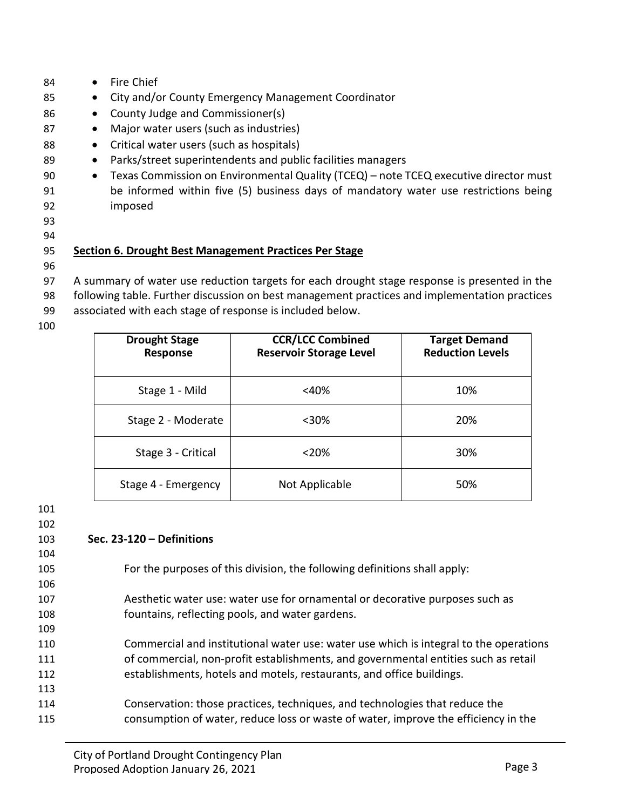| 84 | <b>Fire Chief</b><br>$\bullet$                                                                    |
|----|---------------------------------------------------------------------------------------------------|
| 85 | City and/or County Emergency Management Coordinator<br>$\bullet$                                  |
| 86 | County Judge and Commissioner(s)<br>$\bullet$                                                     |
| 87 | Major water users (such as industries)<br>$\bullet$                                               |
| 88 | Critical water users (such as hospitals)<br>$\bullet$                                             |
| 89 | Parks/street superintendents and public facilities managers<br>$\bullet$                          |
| 90 | Texas Commission on Environmental Quality (TCEQ) - note TCEQ executive director must<br>$\bullet$ |
| 91 | be informed within five (5) business days of mandatory water use restrictions being               |
| 92 | imposed                                                                                           |
| 93 |                                                                                                   |
| 94 |                                                                                                   |
| 95 | Section 6. Drought Best Management Practices Per Stage                                            |
| 96 |                                                                                                   |
| 97 | A summary of water use reduction targets for each drought stage response is presented in the      |

- 1 targets for each drought stage response is presented in the
- 98 following table. Further discussion on best management practices and implementation practices
- 99 associated with each stage of response is included below.
- 100

| <b>Drought Stage</b><br>Response | <b>CCR/LCC Combined</b><br><b>Reservoir Storage Level</b> | <b>Target Demand</b><br><b>Reduction Levels</b> |
|----------------------------------|-----------------------------------------------------------|-------------------------------------------------|
| Stage 1 - Mild                   | $<$ 40%                                                   | 10%                                             |
| Stage 2 - Moderate               | $30%$                                                     | 20%                                             |
| Stage 3 - Critical               | $<$ 20%                                                   | 30%                                             |
| Stage 4 - Emergency              | Not Applicable                                            | 50%                                             |

101

#### 102

106

109

113

### 103 **Sec. 23-120 – Definitions**

- 104
	- 105 For the purposes of this division, the following definitions shall apply:
	- 107 Aesthetic water use: water use for ornamental or decorative purposes such as 108 fountains, reflecting pools, and water gardens.
- 110 Commercial and institutional water use: water use which is integral to the operations 111 of commercial, non-profit establishments, and governmental entities such as retail 112 establishments, hotels and motels, restaurants, and office buildings.
- 114 Conservation: those practices, techniques, and technologies that reduce the 115 consumption of water, reduce loss or waste of water, improve the efficiency in the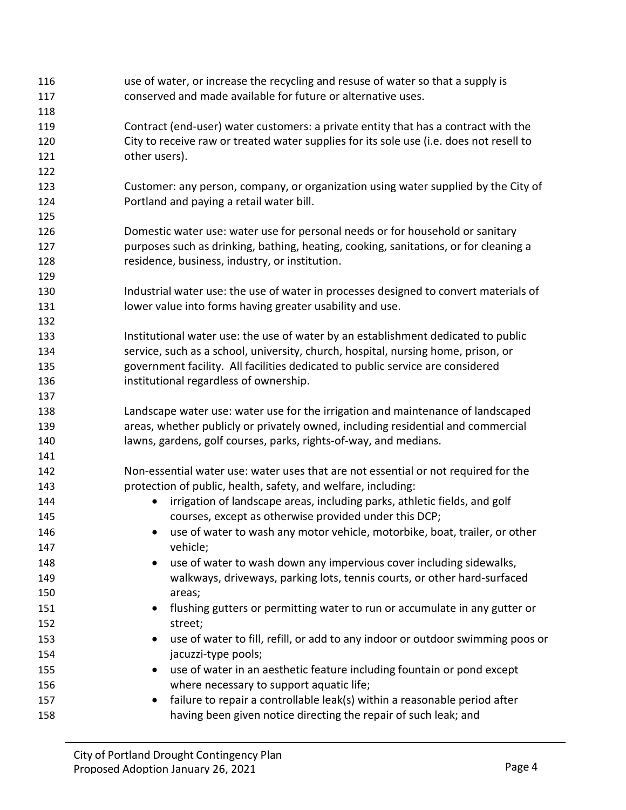| 117<br>118<br>Contract (end-user) water customers: a private entity that has a contract with the<br>119<br>City to receive raw or treated water supplies for its sole use (i.e. does not resell to<br>120<br>other users).<br>121<br>122<br>123<br>Portland and paying a retail water bill.<br>124<br>125<br>Domestic water use: water use for personal needs or for household or sanitary<br>126<br>purposes such as drinking, bathing, heating, cooking, sanitations, or for cleaning a<br>127<br>residence, business, industry, or institution.<br>128 | 116 | use of water, or increase the recycling and resuse of water so that a supply is    |
|-----------------------------------------------------------------------------------------------------------------------------------------------------------------------------------------------------------------------------------------------------------------------------------------------------------------------------------------------------------------------------------------------------------------------------------------------------------------------------------------------------------------------------------------------------------|-----|------------------------------------------------------------------------------------|
|                                                                                                                                                                                                                                                                                                                                                                                                                                                                                                                                                           |     | conserved and made available for future or alternative uses.                       |
|                                                                                                                                                                                                                                                                                                                                                                                                                                                                                                                                                           |     |                                                                                    |
|                                                                                                                                                                                                                                                                                                                                                                                                                                                                                                                                                           |     |                                                                                    |
|                                                                                                                                                                                                                                                                                                                                                                                                                                                                                                                                                           |     |                                                                                    |
|                                                                                                                                                                                                                                                                                                                                                                                                                                                                                                                                                           |     |                                                                                    |
|                                                                                                                                                                                                                                                                                                                                                                                                                                                                                                                                                           |     |                                                                                    |
|                                                                                                                                                                                                                                                                                                                                                                                                                                                                                                                                                           |     | Customer: any person, company, or organization using water supplied by the City of |
|                                                                                                                                                                                                                                                                                                                                                                                                                                                                                                                                                           |     |                                                                                    |
|                                                                                                                                                                                                                                                                                                                                                                                                                                                                                                                                                           |     |                                                                                    |
|                                                                                                                                                                                                                                                                                                                                                                                                                                                                                                                                                           |     |                                                                                    |
|                                                                                                                                                                                                                                                                                                                                                                                                                                                                                                                                                           |     |                                                                                    |
|                                                                                                                                                                                                                                                                                                                                                                                                                                                                                                                                                           |     |                                                                                    |
|                                                                                                                                                                                                                                                                                                                                                                                                                                                                                                                                                           | 129 |                                                                                    |
| Industrial water use: the use of water in processes designed to convert materials of<br>130                                                                                                                                                                                                                                                                                                                                                                                                                                                               |     |                                                                                    |
| lower value into forms having greater usability and use.<br>131                                                                                                                                                                                                                                                                                                                                                                                                                                                                                           |     |                                                                                    |
| 132                                                                                                                                                                                                                                                                                                                                                                                                                                                                                                                                                       |     |                                                                                    |
| Institutional water use: the use of water by an establishment dedicated to public<br>133                                                                                                                                                                                                                                                                                                                                                                                                                                                                  |     |                                                                                    |
| service, such as a school, university, church, hospital, nursing home, prison, or<br>134                                                                                                                                                                                                                                                                                                                                                                                                                                                                  |     |                                                                                    |
| government facility. All facilities dedicated to public service are considered<br>135                                                                                                                                                                                                                                                                                                                                                                                                                                                                     |     |                                                                                    |
| institutional regardless of ownership.<br>136                                                                                                                                                                                                                                                                                                                                                                                                                                                                                                             |     |                                                                                    |
| 137                                                                                                                                                                                                                                                                                                                                                                                                                                                                                                                                                       |     |                                                                                    |
| Landscape water use: water use for the irrigation and maintenance of landscaped<br>138                                                                                                                                                                                                                                                                                                                                                                                                                                                                    |     |                                                                                    |
| areas, whether publicly or privately owned, including residential and commercial<br>139                                                                                                                                                                                                                                                                                                                                                                                                                                                                   |     |                                                                                    |
| lawns, gardens, golf courses, parks, rights-of-way, and medians.<br>140                                                                                                                                                                                                                                                                                                                                                                                                                                                                                   |     |                                                                                    |
| 141                                                                                                                                                                                                                                                                                                                                                                                                                                                                                                                                                       |     |                                                                                    |
| Non-essential water use: water uses that are not essential or not required for the<br>142                                                                                                                                                                                                                                                                                                                                                                                                                                                                 |     |                                                                                    |
| protection of public, health, safety, and welfare, including:<br>143                                                                                                                                                                                                                                                                                                                                                                                                                                                                                      |     |                                                                                    |
| irrigation of landscape areas, including parks, athletic fields, and golf<br>144<br>$\bullet$                                                                                                                                                                                                                                                                                                                                                                                                                                                             |     |                                                                                    |
| courses, except as otherwise provided under this DCP;<br>145                                                                                                                                                                                                                                                                                                                                                                                                                                                                                              |     |                                                                                    |
| use of water to wash any motor vehicle, motorbike, boat, trailer, or other<br>146                                                                                                                                                                                                                                                                                                                                                                                                                                                                         |     |                                                                                    |
| vehicle;<br>147                                                                                                                                                                                                                                                                                                                                                                                                                                                                                                                                           |     |                                                                                    |
| use of water to wash down any impervious cover including sidewalks,<br>148<br>$\bullet$                                                                                                                                                                                                                                                                                                                                                                                                                                                                   |     |                                                                                    |
| walkways, driveways, parking lots, tennis courts, or other hard-surfaced<br>149                                                                                                                                                                                                                                                                                                                                                                                                                                                                           |     |                                                                                    |
| 150<br>areas;                                                                                                                                                                                                                                                                                                                                                                                                                                                                                                                                             |     |                                                                                    |
| flushing gutters or permitting water to run or accumulate in any gutter or<br>151<br>$\bullet$                                                                                                                                                                                                                                                                                                                                                                                                                                                            |     |                                                                                    |
| 152<br>street;                                                                                                                                                                                                                                                                                                                                                                                                                                                                                                                                            |     |                                                                                    |
| 153<br>$\bullet$                                                                                                                                                                                                                                                                                                                                                                                                                                                                                                                                          |     | use of water to fill, refill, or add to any indoor or outdoor swimming poos or     |
| 154<br>jacuzzi-type pools;                                                                                                                                                                                                                                                                                                                                                                                                                                                                                                                                |     |                                                                                    |
| use of water in an aesthetic feature including fountain or pond except<br>155                                                                                                                                                                                                                                                                                                                                                                                                                                                                             |     |                                                                                    |
| where necessary to support aquatic life;<br>156                                                                                                                                                                                                                                                                                                                                                                                                                                                                                                           |     |                                                                                    |
| failure to repair a controllable leak(s) within a reasonable period after<br>157<br>$\bullet$                                                                                                                                                                                                                                                                                                                                                                                                                                                             |     |                                                                                    |
| having been given notice directing the repair of such leak; and<br>158                                                                                                                                                                                                                                                                                                                                                                                                                                                                                    |     |                                                                                    |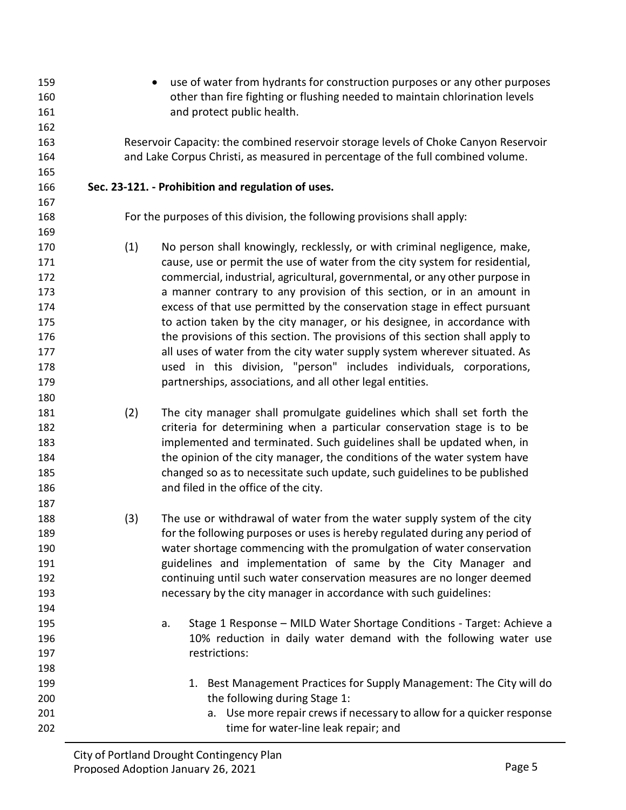other than fire fighting or flushing needed to maintain chlorination levels **and protect public health.**  Reservoir Capacity: the combined reservoir storage levels of Choke Canyon Reservoir and Lake Corpus Christi, as measured in percentage of the full combined volume. **Sec. 23-121. - Prohibition and regulation of uses.** For the purposes of this division, the following provisions shall apply: (1) No person shall knowingly, recklessly, or with criminal negligence, make, cause, use or permit the use of water from the city system for residential, commercial, industrial, agricultural, governmental, or any other purpose in a manner contrary to any provision of this section, or in an amount in excess of that use permitted by the conservation stage in effect pursuant 175 to action taken by the city manager, or his designee, in accordance with the provisions of this section. The provisions of this section shall apply to **177** all uses of water from the city water supply system wherever situated. As used in this division, "person" includes individuals, corporations, partnerships, associations, and all other legal entities. (2) The city manager shall promulgate guidelines which shall set forth the criteria for determining when a particular conservation stage is to be implemented and terminated. Such guidelines shall be updated when, in the opinion of the city manager, the conditions of the water system have changed so as to necessitate such update, such guidelines to be published and filed in the office of the city. (3) The use or withdrawal of water from the water supply system of the city for the following purposes or uses is hereby regulated during any period of water shortage commencing with the promulgation of water conservation guidelines and implementation of same by the City Manager and continuing until such water conservation measures are no longer deemed necessary by the city manager in accordance with such guidelines: a. Stage 1 Response – MILD Water Shortage Conditions - Target: Achieve a 10% reduction in daily water demand with the following water use restrictions: 199 1. Best Management Practices for Supply Management: The City will do **the following during Stage 1:**  a. Use more repair crews if necessary to allow for a quicker response time for water-line leak repair; and

• use of water from hydrants for construction purposes or any other purposes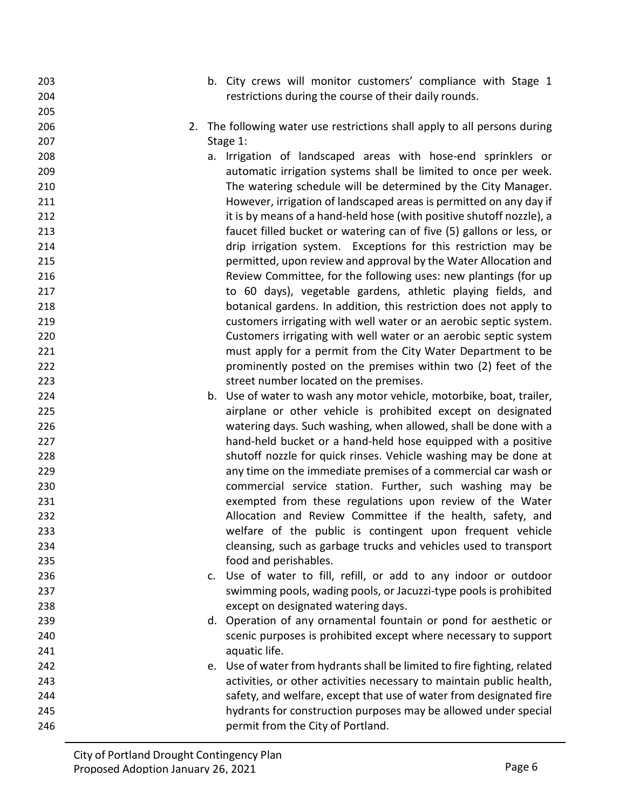- b. City crews will monitor customers' compliance with Stage 1 restrictions during the course of their daily rounds.
- 2. The following water use restrictions shall apply to all persons during Stage 1:
- a. Irrigation of landscaped areas with hose-end sprinklers or automatic irrigation systems shall be limited to once per week. The watering schedule will be determined by the City Manager. However, irrigation of landscaped areas is permitted on any day if **it is by means of a hand-held hose (with positive shutoff nozzle), a**  faucet filled bucket or watering can of five (5) gallons or less, or drip irrigation system. Exceptions for this restriction may be permitted, upon review and approval by the Water Allocation and Review Committee, for the following uses: new plantings (for up to 60 days), vegetable gardens, athletic playing fields, and botanical gardens. In addition, this restriction does not apply to customers irrigating with well water or an aerobic septic system. Customers irrigating with well water or an aerobic septic system must apply for a permit from the City Water Department to be prominently posted on the premises within two (2) feet of the street number located on the premises.
- b. Use of water to wash any motor vehicle, motorbike, boat, trailer, airplane or other vehicle is prohibited except on designated watering days. Such washing, when allowed, shall be done with a hand-held bucket or a hand-held hose equipped with a positive shutoff nozzle for quick rinses. Vehicle washing may be done at any time on the immediate premises of a commercial car wash or commercial service station. Further, such washing may be exempted from these regulations upon review of the Water Allocation and Review Committee if the health, safety, and welfare of the public is contingent upon frequent vehicle cleansing, such as garbage trucks and vehicles used to transport food and perishables.
- c. Use of water to fill, refill, or add to any indoor or outdoor swimming pools, wading pools, or Jacuzzi-type pools is prohibited except on designated watering days.

 d. Operation of any ornamental fountain or pond for aesthetic or scenic purposes is prohibited except where necessary to support **aguatic life.** 

 e. Use of water from hydrants shall be limited to fire fighting, related activities, or other activities necessary to maintain public health, safety, and welfare, except that use of water from designated fire hydrants for construction purposes may be allowed under special permit from the City of Portland.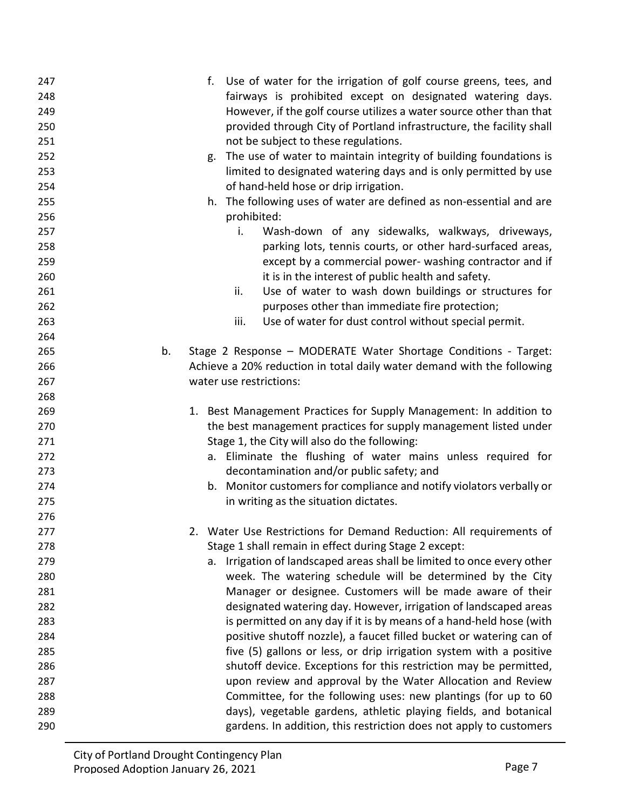| 247 |    | f.                      | Use of water for the irrigation of golf course greens, tees, and       |
|-----|----|-------------------------|------------------------------------------------------------------------|
| 248 |    |                         | fairways is prohibited except on designated watering days.             |
| 249 |    |                         | However, if the golf course utilizes a water source other than that    |
| 250 |    |                         | provided through City of Portland infrastructure, the facility shall   |
| 251 |    |                         | not be subject to these regulations.                                   |
| 252 |    |                         | g. The use of water to maintain integrity of building foundations is   |
| 253 |    |                         | limited to designated watering days and is only permitted by use       |
| 254 |    |                         | of hand-held hose or drip irrigation.                                  |
| 255 |    |                         | h. The following uses of water are defined as non-essential and are    |
| 256 |    | prohibited:             |                                                                        |
| 257 |    | i.                      | Wash-down of any sidewalks, walkways, driveways,                       |
| 258 |    |                         | parking lots, tennis courts, or other hard-surfaced areas,             |
| 259 |    |                         | except by a commercial power- washing contractor and if                |
| 260 |    |                         | it is in the interest of public health and safety.                     |
| 261 |    | ii.                     | Use of water to wash down buildings or structures for                  |
| 262 |    |                         | purposes other than immediate fire protection;                         |
| 263 |    | iii.                    | Use of water for dust control without special permit.                  |
| 264 |    |                         |                                                                        |
| 265 | b. |                         | Stage 2 Response - MODERATE Water Shortage Conditions - Target:        |
| 266 |    |                         | Achieve a 20% reduction in total daily water demand with the following |
| 267 |    | water use restrictions: |                                                                        |
| 268 |    |                         |                                                                        |
| 269 |    |                         | 1. Best Management Practices for Supply Management: In addition to     |
| 270 |    |                         | the best management practices for supply management listed under       |
| 271 |    |                         | Stage 1, the City will also do the following:                          |
| 272 |    |                         | a. Eliminate the flushing of water mains unless required for           |
| 273 |    |                         | decontamination and/or public safety; and                              |
| 274 |    |                         | b. Monitor customers for compliance and notify violators verbally or   |
| 275 |    |                         | in writing as the situation dictates.                                  |
| 276 |    |                         |                                                                        |
| 277 |    |                         |                                                                        |
|     |    |                         | 2. Water Use Restrictions for Demand Reduction: All requirements of    |
| 278 |    |                         | Stage 1 shall remain in effect during Stage 2 except:                  |
| 279 |    |                         | a. Irrigation of landscaped areas shall be limited to once every other |
| 280 |    |                         | week. The watering schedule will be determined by the City             |
| 281 |    |                         | Manager or designee. Customers will be made aware of their             |
| 282 |    |                         | designated watering day. However, irrigation of landscaped areas       |
| 283 |    |                         | is permitted on any day if it is by means of a hand-held hose (with    |
| 284 |    |                         | positive shutoff nozzle), a faucet filled bucket or watering can of    |
| 285 |    |                         | five (5) gallons or less, or drip irrigation system with a positive    |
| 286 |    |                         | shutoff device. Exceptions for this restriction may be permitted,      |
| 287 |    |                         | upon review and approval by the Water Allocation and Review            |
| 288 |    |                         | Committee, for the following uses: new plantings (for up to 60         |
| 289 |    |                         | days), vegetable gardens, athletic playing fields, and botanical       |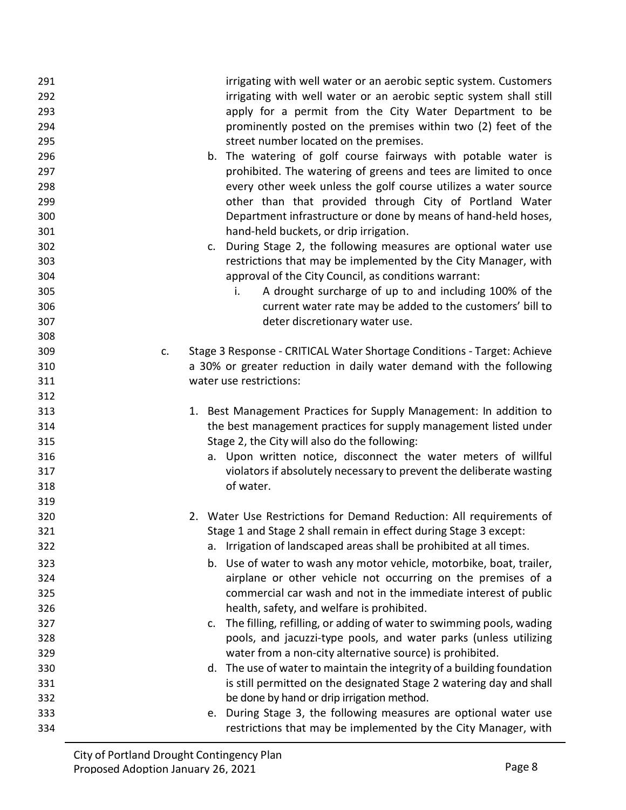| 291 | irrigating with well water or an aerobic septic system. Customers             |
|-----|-------------------------------------------------------------------------------|
| 292 | irrigating with well water or an aerobic septic system shall still            |
| 293 | apply for a permit from the City Water Department to be                       |
| 294 | prominently posted on the premises within two (2) feet of the                 |
| 295 | street number located on the premises.                                        |
| 296 | b. The watering of golf course fairways with potable water is                 |
| 297 | prohibited. The watering of greens and tees are limited to once               |
| 298 | every other week unless the golf course utilizes a water source               |
| 299 | other than that provided through City of Portland Water                       |
| 300 | Department infrastructure or done by means of hand-held hoses,                |
| 301 | hand-held buckets, or drip irrigation.                                        |
| 302 | c. During Stage 2, the following measures are optional water use              |
| 303 | restrictions that may be implemented by the City Manager, with                |
| 304 | approval of the City Council, as conditions warrant:                          |
| 305 | A drought surcharge of up to and including 100% of the<br>i.                  |
| 306 | current water rate may be added to the customers' bill to                     |
| 307 | deter discretionary water use.                                                |
| 308 |                                                                               |
| 309 | Stage 3 Response - CRITICAL Water Shortage Conditions - Target: Achieve<br>c. |
| 310 | a 30% or greater reduction in daily water demand with the following           |
| 311 | water use restrictions:                                                       |
| 312 |                                                                               |
| 313 | 1. Best Management Practices for Supply Management: In addition to            |
| 314 | the best management practices for supply management listed under              |
| 315 | Stage 2, the City will also do the following:                                 |
| 316 | a. Upon written notice, disconnect the water meters of willful                |
| 317 | violators if absolutely necessary to prevent the deliberate wasting           |
| 318 | of water.                                                                     |
| 319 |                                                                               |
| 320 | 2. Water Use Restrictions for Demand Reduction: All requirements of           |
| 321 | Stage 1 and Stage 2 shall remain in effect during Stage 3 except:             |
| 322 | Irrigation of landscaped areas shall be prohibited at all times.<br>а.        |
| 323 | b. Use of water to wash any motor vehicle, motorbike, boat, trailer,          |
| 324 | airplane or other vehicle not occurring on the premises of a                  |
| 325 | commercial car wash and not in the immediate interest of public               |
| 326 | health, safety, and welfare is prohibited.                                    |
| 327 | The filling, refilling, or adding of water to swimming pools, wading<br>C.    |
| 328 | pools, and jacuzzi-type pools, and water parks (unless utilizing              |
| 329 | water from a non-city alternative source) is prohibited.                      |
| 330 | d. The use of water to maintain the integrity of a building foundation        |
| 331 | is still permitted on the designated Stage 2 watering day and shall           |
| 332 | be done by hand or drip irrigation method.                                    |
| 333 | e. During Stage 3, the following measures are optional water use              |
| 334 | restrictions that may be implemented by the City Manager, with                |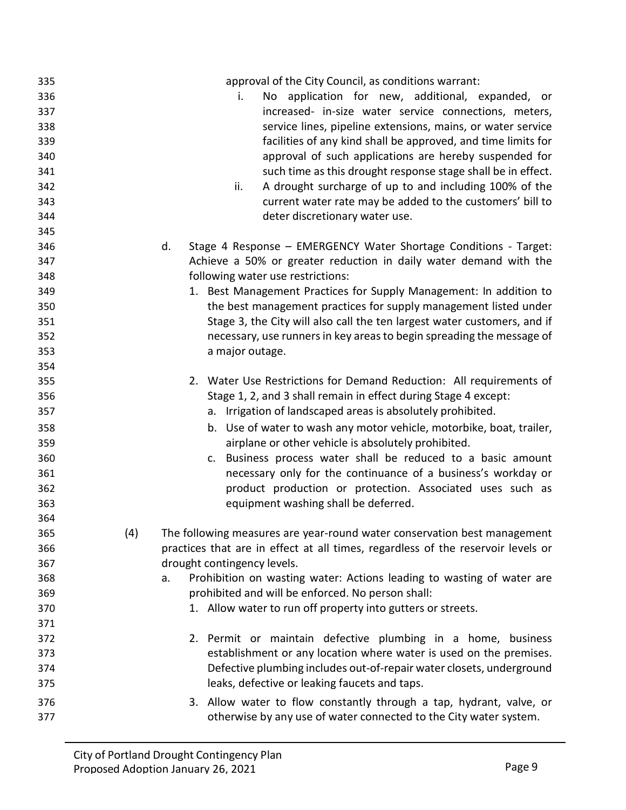| 335 |     | approval of the City Council, as conditions warrant:                             |
|-----|-----|----------------------------------------------------------------------------------|
| 336 |     | No application for new, additional, expanded, or<br>i.                           |
| 337 |     | increased- in-size water service connections, meters,                            |
| 338 |     | service lines, pipeline extensions, mains, or water service                      |
| 339 |     | facilities of any kind shall be approved, and time limits for                    |
| 340 |     | approval of such applications are hereby suspended for                           |
| 341 |     | such time as this drought response stage shall be in effect.                     |
| 342 |     | A drought surcharge of up to and including 100% of the<br>ii.                    |
| 343 |     | current water rate may be added to the customers' bill to                        |
| 344 |     | deter discretionary water use.                                                   |
| 345 |     |                                                                                  |
| 346 |     | Stage 4 Response - EMERGENCY Water Shortage Conditions - Target:<br>d.           |
| 347 |     | Achieve a 50% or greater reduction in daily water demand with the                |
| 348 |     | following water use restrictions:                                                |
| 349 |     | 1. Best Management Practices for Supply Management: In addition to               |
| 350 |     | the best management practices for supply management listed under                 |
| 351 |     | Stage 3, the City will also call the ten largest water customers, and if         |
| 352 |     | necessary, use runners in key areas to begin spreading the message of            |
| 353 |     | a major outage.                                                                  |
| 354 |     |                                                                                  |
| 355 |     | 2. Water Use Restrictions for Demand Reduction: All requirements of              |
| 356 |     | Stage 1, 2, and 3 shall remain in effect during Stage 4 except:                  |
| 357 |     | a. Irrigation of landscaped areas is absolutely prohibited.                      |
| 358 |     | b. Use of water to wash any motor vehicle, motorbike, boat, trailer,             |
| 359 |     | airplane or other vehicle is absolutely prohibited.                              |
| 360 |     | c. Business process water shall be reduced to a basic amount                     |
| 361 |     | necessary only for the continuance of a business's workday or                    |
| 362 |     | product production or protection. Associated uses such as                        |
| 363 |     | equipment washing shall be deferred.                                             |
| 364 |     |                                                                                  |
| 365 | (4) | The following measures are year-round water conservation best management         |
| 366 |     | practices that are in effect at all times, regardless of the reservoir levels or |
| 367 |     | drought contingency levels.                                                      |
| 368 |     | Prohibition on wasting water: Actions leading to wasting of water are<br>a.      |
| 369 |     | prohibited and will be enforced. No person shall:                                |
| 370 |     | 1. Allow water to run off property into gutters or streets.                      |
| 371 |     |                                                                                  |
| 372 |     | 2. Permit or maintain defective plumbing in a home, business                     |
| 373 |     | establishment or any location where water is used on the premises.               |
| 374 |     | Defective plumbing includes out-of-repair water closets, underground             |
| 375 |     | leaks, defective or leaking faucets and taps.                                    |
|     |     |                                                                                  |
| 376 |     | 3. Allow water to flow constantly through a tap, hydrant, valve, or              |
| 377 |     | otherwise by any use of water connected to the City water system.                |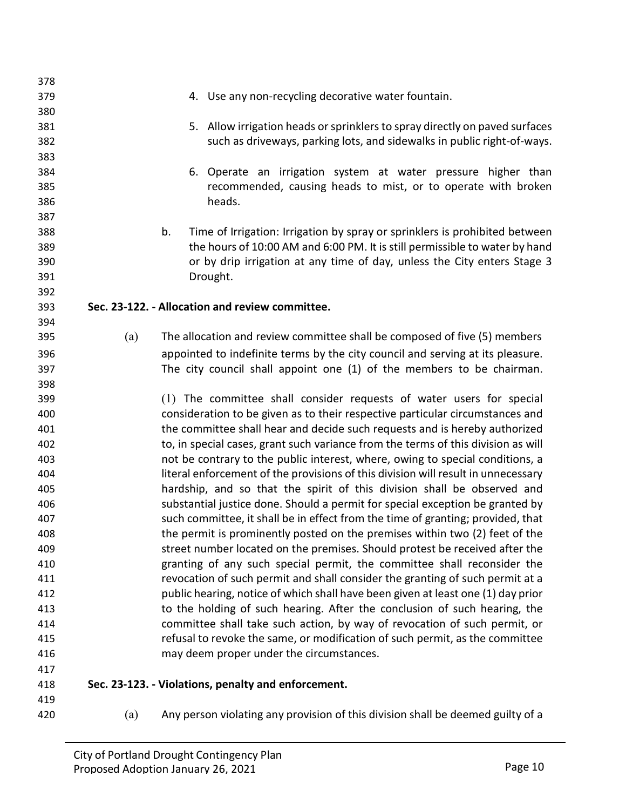| 378 |     |    |                                                                                   |
|-----|-----|----|-----------------------------------------------------------------------------------|
| 379 |     |    | 4. Use any non-recycling decorative water fountain.                               |
| 380 |     |    |                                                                                   |
| 381 |     |    | 5. Allow irrigation heads or sprinklers to spray directly on paved surfaces       |
| 382 |     |    | such as driveways, parking lots, and sidewalks in public right-of-ways.           |
| 383 |     |    |                                                                                   |
| 384 |     |    | 6. Operate an irrigation system at water pressure higher than                     |
| 385 |     |    | recommended, causing heads to mist, or to operate with broken                     |
| 386 |     |    | heads.                                                                            |
| 387 |     |    |                                                                                   |
| 388 |     | b. | Time of Irrigation: Irrigation by spray or sprinklers is prohibited between       |
| 389 |     |    | the hours of 10:00 AM and 6:00 PM. It is still permissible to water by hand       |
| 390 |     |    | or by drip irrigation at any time of day, unless the City enters Stage 3          |
| 391 |     |    | Drought.                                                                          |
| 392 |     |    |                                                                                   |
| 393 |     |    | Sec. 23-122. - Allocation and review committee.                                   |
| 394 |     |    |                                                                                   |
| 395 | (a) |    | The allocation and review committee shall be composed of five (5) members         |
| 396 |     |    | appointed to indefinite terms by the city council and serving at its pleasure.    |
| 397 |     |    | The city council shall appoint one (1) of the members to be chairman.             |
| 398 |     |    |                                                                                   |
| 399 |     |    | (1) The committee shall consider requests of water users for special              |
| 400 |     |    | consideration to be given as to their respective particular circumstances and     |
| 401 |     |    | the committee shall hear and decide such requests and is hereby authorized        |
| 402 |     |    | to, in special cases, grant such variance from the terms of this division as will |
| 403 |     |    | not be contrary to the public interest, where, owing to special conditions, a     |
| 404 |     |    | literal enforcement of the provisions of this division will result in unnecessary |
| 405 |     |    | hardship, and so that the spirit of this division shall be observed and           |
| 406 |     |    | substantial justice done. Should a permit for special exception be granted by     |
| 407 |     |    | such committee, it shall be in effect from the time of granting; provided, that   |
| 408 |     |    | the permit is prominently posted on the premises within two (2) feet of the       |
| 409 |     |    | street number located on the premises. Should protest be received after the       |
| 410 |     |    | granting of any such special permit, the committee shall reconsider the           |
| 411 |     |    | revocation of such permit and shall consider the granting of such permit at a     |
| 412 |     |    | public hearing, notice of which shall have been given at least one (1) day prior  |
| 413 |     |    | to the holding of such hearing. After the conclusion of such hearing, the         |
| 414 |     |    | committee shall take such action, by way of revocation of such permit, or         |
| 415 |     |    | refusal to revoke the same, or modification of such permit, as the committee      |
| 416 |     |    | may deem proper under the circumstances.                                          |
| 417 |     |    |                                                                                   |
| 418 |     |    | Sec. 23-123. - Violations, penalty and enforcement.                               |
| 419 |     |    |                                                                                   |
| 420 | (a) |    | Any person violating any provision of this division shall be deemed guilty of a   |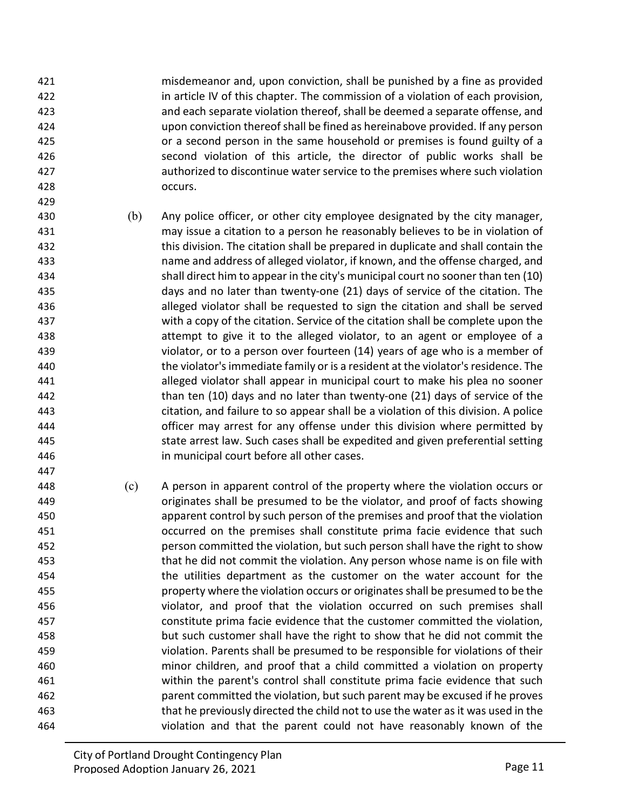misdemeanor and, upon conviction, shall be punished by a fine as provided in article IV of this chapter. The commission of a violation of each provision, and each separate violation thereof, shall be deemed a separate offense, and upon conviction thereofshall be fined as hereinabove provided. If any person or a second person in the same household or premises is found guilty of a second violation of this article, the director of public works shall be authorized to discontinue waterservice to the premises where such violation occurs.

- (b) Any police officer, or other city employee designated by the city manager, may issue a citation to a person he reasonably believes to be in violation of this division. The citation shall be prepared in duplicate and shall contain the name and address of alleged violator, if known, and the offense charged, and shall direct him to appear in the city's municipal court no sooner than ten (10) days and no later than twenty-one (21) days of service of the citation. The alleged violator shall be requested to sign the citation and shall be served with a copy of the citation. Service of the citation shall be complete upon the attempt to give it to the alleged violator, to an agent or employee of a violator, or to a person over fourteen (14) years of age who is a member of the violator's immediate family or is a resident at the violator'sresidence. The alleged violator shall appear in municipal court to make his plea no sooner than ten (10) days and no later than twenty-one (21) days of service of the citation, and failure to so appear shall be a violation of this division. A police officer may arrest for any offense under this division where permitted by state arrest law. Such cases shall be expedited and given preferential setting in municipal court before all other cases.
- (c) A person in apparent control of the property where the violation occurs or originates shall be presumed to be the violator, and proof of facts showing apparent control by such person of the premises and proof that the violation occurred on the premises shall constitute prima facie evidence that such person committed the violation, but such person shall have the right to show that he did not commit the violation. Any person whose name is on file with the utilities department as the customer on the water account for the property where the violation occurs or originates shall be presumed to be the violator, and proof that the violation occurred on such premises shall constitute prima facie evidence that the customer committed the violation, but such customer shall have the right to show that he did not commit the violation. Parents shall be presumed to be responsible for violations of their minor children, and proof that a child committed a violation on property within the parent's control shall constitute prima facie evidence that such parent committed the violation, but such parent may be excused if he proves that he previously directed the child not to use the water as it was used in the violation and that the parent could not have reasonably known of the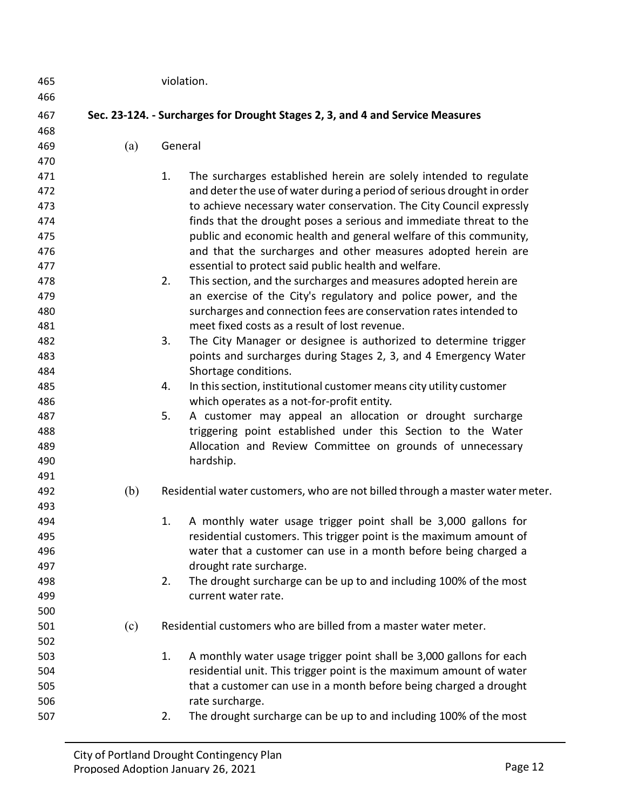| 465<br>466 |     |         | violation.                                                                                                                                 |
|------------|-----|---------|--------------------------------------------------------------------------------------------------------------------------------------------|
| 467        |     |         | Sec. 23-124. - Surcharges for Drought Stages 2, 3, and 4 and Service Measures                                                              |
| 468        |     |         |                                                                                                                                            |
| 469        | (a) | General |                                                                                                                                            |
| 470        |     |         |                                                                                                                                            |
| 471        |     | 1.      | The surcharges established herein are solely intended to regulate                                                                          |
| 472        |     |         | and deter the use of water during a period of serious drought in order                                                                     |
| 473        |     |         | to achieve necessary water conservation. The City Council expressly                                                                        |
| 474        |     |         | finds that the drought poses a serious and immediate threat to the                                                                         |
| 475        |     |         | public and economic health and general welfare of this community,                                                                          |
| 476        |     |         | and that the surcharges and other measures adopted herein are                                                                              |
| 477        |     |         | essential to protect said public health and welfare.                                                                                       |
| 478        |     | 2.      | This section, and the surcharges and measures adopted herein are                                                                           |
| 479        |     |         | an exercise of the City's regulatory and police power, and the                                                                             |
| 480        |     |         | surcharges and connection fees are conservation rates intended to                                                                          |
| 481        |     |         | meet fixed costs as a result of lost revenue.                                                                                              |
| 482        |     | 3.      | The City Manager or designee is authorized to determine trigger                                                                            |
| 483        |     |         | points and surcharges during Stages 2, 3, and 4 Emergency Water                                                                            |
| 484        |     |         | Shortage conditions.                                                                                                                       |
| 485        |     | 4.      | In this section, institutional customer means city utility customer                                                                        |
| 486        |     |         | which operates as a not-for-profit entity.                                                                                                 |
| 487        |     | 5.      | A customer may appeal an allocation or drought surcharge                                                                                   |
| 488        |     |         | triggering point established under this Section to the Water                                                                               |
| 489        |     |         | Allocation and Review Committee on grounds of unnecessary                                                                                  |
| 490        |     |         | hardship.                                                                                                                                  |
| 491        |     |         |                                                                                                                                            |
| 492        | (b) |         | Residential water customers, who are not billed through a master water meter.                                                              |
| 493        |     |         |                                                                                                                                            |
| 494        |     | 1.      | A monthly water usage trigger point shall be 3,000 gallons for                                                                             |
| 495        |     |         | residential customers. This trigger point is the maximum amount of                                                                         |
| 496        |     |         | water that a customer can use in a month before being charged a                                                                            |
| 497        |     |         | drought rate surcharge.                                                                                                                    |
| 498        |     | 2.      | The drought surcharge can be up to and including 100% of the most                                                                          |
| 499        |     |         | current water rate.                                                                                                                        |
| 500        |     |         | Residential customers who are billed from a master water meter.                                                                            |
| 501        | (c) |         |                                                                                                                                            |
| 502        |     | 1.      |                                                                                                                                            |
| 503<br>504 |     |         | A monthly water usage trigger point shall be 3,000 gallons for each<br>residential unit. This trigger point is the maximum amount of water |
| 505        |     |         | that a customer can use in a month before being charged a drought                                                                          |
| 506        |     |         | rate surcharge.                                                                                                                            |
| 507        |     | 2.      | The drought surcharge can be up to and including 100% of the most                                                                          |
|            |     |         |                                                                                                                                            |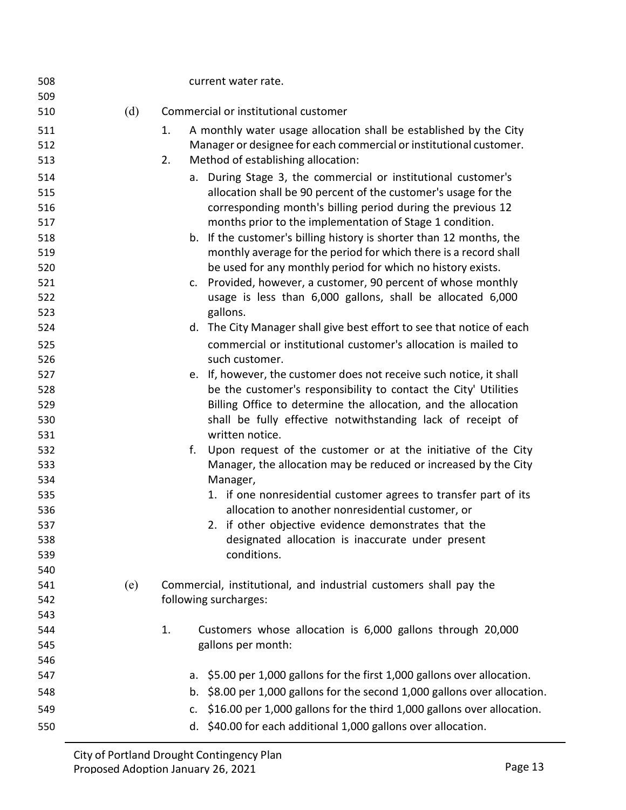| 508        |     | current water rate.                                                          |
|------------|-----|------------------------------------------------------------------------------|
| 509<br>510 | (d) | Commercial or institutional customer                                         |
|            |     |                                                                              |
| 511        |     | A monthly water usage allocation shall be established by the City<br>1.      |
| 512        |     | Manager or designee for each commercial or institutional customer.           |
| 513        |     | 2.<br>Method of establishing allocation:                                     |
| 514        |     | a. During Stage 3, the commercial or institutional customer's                |
| 515        |     | allocation shall be 90 percent of the customer's usage for the               |
| 516        |     | corresponding month's billing period during the previous 12                  |
| 517        |     | months prior to the implementation of Stage 1 condition.                     |
| 518        |     | b. If the customer's billing history is shorter than 12 months, the          |
| 519        |     | monthly average for the period for which there is a record shall             |
| 520        |     | be used for any monthly period for which no history exists.                  |
| 521        |     | Provided, however, a customer, 90 percent of whose monthly<br>C <sub>1</sub> |
| 522        |     | usage is less than 6,000 gallons, shall be allocated 6,000                   |
| 523        |     | gallons.                                                                     |
| 524        |     | d. The City Manager shall give best effort to see that notice of each        |
| 525        |     | commercial or institutional customer's allocation is mailed to               |
| 526        |     | such customer.                                                               |
| 527        |     | e. If, however, the customer does not receive such notice, it shall          |
| 528        |     | be the customer's responsibility to contact the City' Utilities              |
| 529        |     | Billing Office to determine the allocation, and the allocation               |
| 530        |     | shall be fully effective notwithstanding lack of receipt of                  |
| 531        |     | written notice.                                                              |
| 532        |     | Upon request of the customer or at the initiative of the City<br>f.          |
| 533        |     | Manager, the allocation may be reduced or increased by the City              |
| 534        |     | Manager,                                                                     |
| 535        |     | 1. if one nonresidential customer agrees to transfer part of its             |
| 536        |     | allocation to another nonresidential customer, or                            |
| 537        |     | 2. if other objective evidence demonstrates that the                         |
| 538        |     | designated allocation is inaccurate under present                            |
| 539        |     | conditions.                                                                  |
| 540        |     |                                                                              |
| 541        | (e) | Commercial, institutional, and industrial customers shall pay the            |
| 542        |     | following surcharges:                                                        |
| 543        |     |                                                                              |
| 544        |     | Customers whose allocation is 6,000 gallons through 20,000<br>1.             |
| 545        |     | gallons per month:                                                           |
| 546        |     |                                                                              |
| 547        |     | a. \$5.00 per 1,000 gallons for the first 1,000 gallons over allocation.     |
| 548        |     | b. \$8.00 per 1,000 gallons for the second 1,000 gallons over allocation.    |
| 549        |     | \$16.00 per 1,000 gallons for the third 1,000 gallons over allocation.<br>c. |
| 550        |     | d. \$40.00 for each additional 1,000 gallons over allocation.                |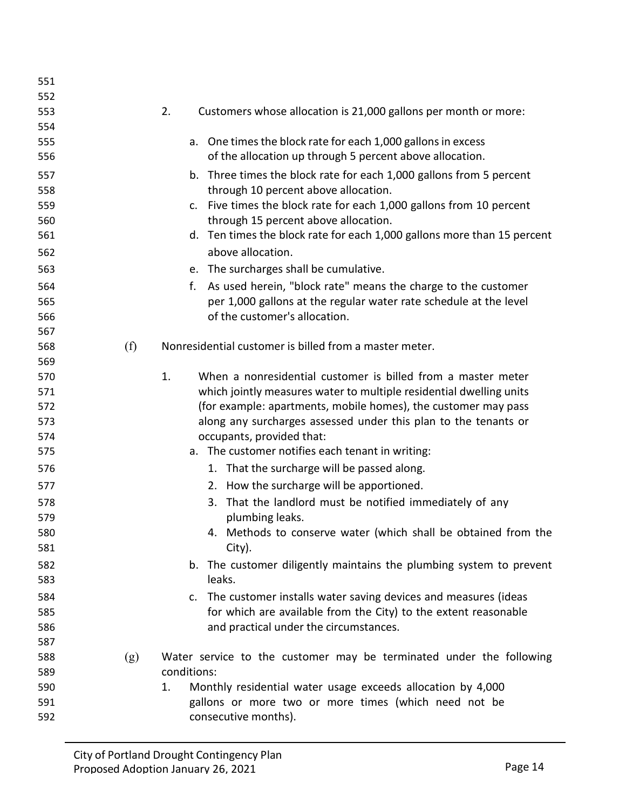| 551 |     |                                                                                  |
|-----|-----|----------------------------------------------------------------------------------|
| 552 |     |                                                                                  |
| 553 |     | 2.<br>Customers whose allocation is 21,000 gallons per month or more:            |
| 554 |     |                                                                                  |
| 555 |     | a. One times the block rate for each 1,000 gallons in excess                     |
| 556 |     | of the allocation up through 5 percent above allocation.                         |
| 557 |     | b. Three times the block rate for each 1,000 gallons from 5 percent              |
| 558 |     | through 10 percent above allocation.                                             |
| 559 |     | c. Five times the block rate for each 1,000 gallons from 10 percent              |
| 560 |     | through 15 percent above allocation.                                             |
| 561 |     | d. Ten times the block rate for each 1,000 gallons more than 15 percent          |
| 562 |     | above allocation.                                                                |
| 563 |     | e. The surcharges shall be cumulative.                                           |
| 564 |     | As used herein, "block rate" means the charge to the customer<br>f.              |
| 565 |     | per 1,000 gallons at the regular water rate schedule at the level                |
| 566 |     | of the customer's allocation.                                                    |
| 567 |     |                                                                                  |
| 568 | (f) | Nonresidential customer is billed from a master meter.                           |
| 569 |     |                                                                                  |
| 570 |     | 1.<br>When a nonresidential customer is billed from a master meter               |
| 571 |     | which jointly measures water to multiple residential dwelling units              |
| 572 |     | (for example: apartments, mobile homes), the customer may pass                   |
| 573 |     | along any surcharges assessed under this plan to the tenants or                  |
| 574 |     | occupants, provided that:                                                        |
| 575 |     | a. The customer notifies each tenant in writing:                                 |
| 576 |     | 1. That the surcharge will be passed along.                                      |
| 577 |     | 2. How the surcharge will be apportioned.                                        |
| 578 |     | 3. That the landlord must be notified immediately of any                         |
| 579 |     | plumbing leaks.                                                                  |
| 580 |     | 4. Methods to conserve water (which shall be obtained from the                   |
| 581 |     | City).                                                                           |
| 582 |     | b. The customer diligently maintains the plumbing system to prevent              |
| 583 |     | leaks.                                                                           |
| 584 |     | The customer installs water saving devices and measures (ideas<br>$\mathsf{C}$ . |
| 585 |     | for which are available from the City) to the extent reasonable                  |
| 586 |     | and practical under the circumstances.                                           |
| 587 |     |                                                                                  |
| 588 | (g) | Water service to the customer may be terminated under the following              |
| 589 |     | conditions:                                                                      |
| 590 |     | Monthly residential water usage exceeds allocation by 4,000<br>1.                |
| 591 |     | gallons or more two or more times (which need not be                             |
| 592 |     | consecutive months).                                                             |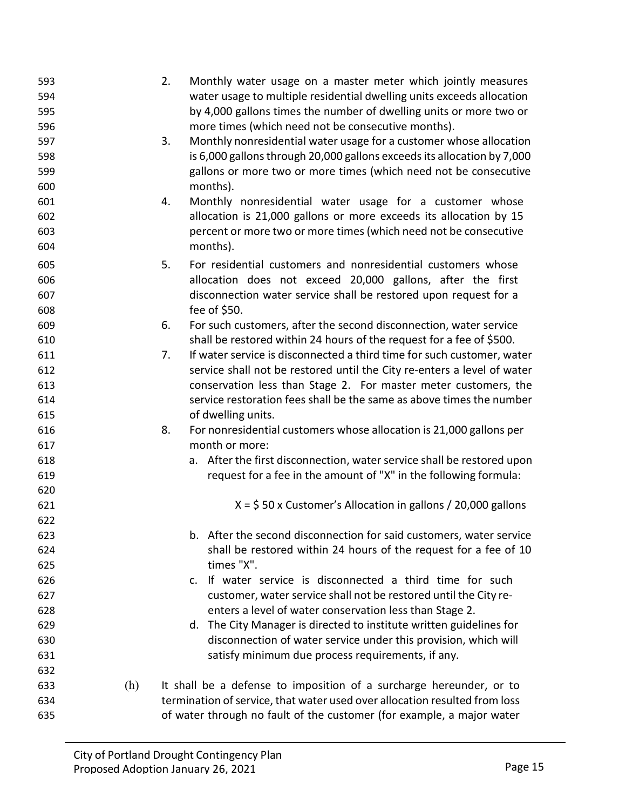| 593<br>594<br>595<br>596 |     | 2.<br>Monthly water usage on a master meter which jointly measures<br>water usage to multiple residential dwelling units exceeds allocation<br>by 4,000 gallons times the number of dwelling units or more two or<br>more times (which need not be consecutive months). |
|--------------------------|-----|-------------------------------------------------------------------------------------------------------------------------------------------------------------------------------------------------------------------------------------------------------------------------|
| 597<br>598<br>599<br>600 |     | 3.<br>Monthly nonresidential water usage for a customer whose allocation<br>is 6,000 gallons through 20,000 gallons exceeds its allocation by 7,000<br>gallons or more two or more times (which need not be consecutive<br>months).                                     |
| 601<br>602<br>603<br>604 |     | Monthly nonresidential water usage for a customer whose<br>4.<br>allocation is 21,000 gallons or more exceeds its allocation by 15<br>percent or more two or more times (which need not be consecutive<br>months).                                                      |
| 605<br>606<br>607<br>608 |     | 5.<br>For residential customers and nonresidential customers whose<br>allocation does not exceed 20,000 gallons, after the first<br>disconnection water service shall be restored upon request for a<br>fee of \$50.                                                    |
| 609<br>610               |     | 6.<br>For such customers, after the second disconnection, water service<br>shall be restored within 24 hours of the request for a fee of \$500.                                                                                                                         |
| 611                      |     | If water service is disconnected a third time for such customer, water<br>7.                                                                                                                                                                                            |
| 612                      |     | service shall not be restored until the City re-enters a level of water                                                                                                                                                                                                 |
| 613                      |     | conservation less than Stage 2. For master meter customers, the                                                                                                                                                                                                         |
| 614                      |     | service restoration fees shall be the same as above times the number                                                                                                                                                                                                    |
| 615                      |     | of dwelling units.                                                                                                                                                                                                                                                      |
| 616                      |     | 8.<br>For nonresidential customers whose allocation is 21,000 gallons per                                                                                                                                                                                               |
| 617                      |     | month or more:                                                                                                                                                                                                                                                          |
| 618                      |     | a. After the first disconnection, water service shall be restored upon                                                                                                                                                                                                  |
| 619                      |     | request for a fee in the amount of "X" in the following formula:                                                                                                                                                                                                        |
| 620                      |     |                                                                                                                                                                                                                                                                         |
| 621                      |     | $X = $50 x$ Customer's Allocation in gallons / 20,000 gallons                                                                                                                                                                                                           |
| 622                      |     |                                                                                                                                                                                                                                                                         |
| 623                      |     | b. After the second disconnection for said customers, water service                                                                                                                                                                                                     |
| 624                      |     | shall be restored within 24 hours of the request for a fee of 10<br>times "X".                                                                                                                                                                                          |
| 625<br>626               |     | c. If water service is disconnected a third time for such                                                                                                                                                                                                               |
| 627                      |     | customer, water service shall not be restored until the City re-                                                                                                                                                                                                        |
| 628                      |     | enters a level of water conservation less than Stage 2.                                                                                                                                                                                                                 |
| 629                      |     | d. The City Manager is directed to institute written guidelines for                                                                                                                                                                                                     |
| 630                      |     | disconnection of water service under this provision, which will                                                                                                                                                                                                         |
| 631                      |     | satisfy minimum due process requirements, if any.                                                                                                                                                                                                                       |
| 632                      |     |                                                                                                                                                                                                                                                                         |
| 633                      | (h) | It shall be a defense to imposition of a surcharge hereunder, or to                                                                                                                                                                                                     |
| 634                      |     | termination of service, that water used over allocation resulted from loss                                                                                                                                                                                              |
| 635                      |     | of water through no fault of the customer (for example, a major water                                                                                                                                                                                                   |
|                          |     |                                                                                                                                                                                                                                                                         |